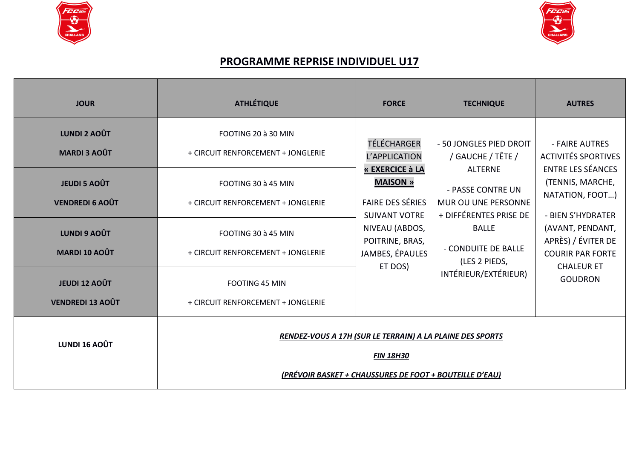



## **PROGRAMME REPRISE INDIVIDUEL U17**

| <b>JOUR</b>                                                                                                                                                                                   | <b>ATHLÉTIQUE</b>                                                                                                                                                                                                                           | <b>FORCE</b>                                                                                                                                                                             | <b>TECHNIQUE</b>                                                                                                                                                                                                     | <b>AUTRES</b>                                                                                                                                                                                                                                    |
|-----------------------------------------------------------------------------------------------------------------------------------------------------------------------------------------------|---------------------------------------------------------------------------------------------------------------------------------------------------------------------------------------------------------------------------------------------|------------------------------------------------------------------------------------------------------------------------------------------------------------------------------------------|----------------------------------------------------------------------------------------------------------------------------------------------------------------------------------------------------------------------|--------------------------------------------------------------------------------------------------------------------------------------------------------------------------------------------------------------------------------------------------|
| <b>LUNDI 2 AOÛT</b><br><b>MARDI 3 AOÛT</b><br><b>JEUDI 5 AOÛT</b><br><b>VENDREDI 6 AOÛT</b><br><b>LUNDI 9 AOÛT</b><br><b>MARDI 10 AOÛT</b><br><b>JEUDI 12 AOÛT</b><br><b>VENDREDI 13 AOÛT</b> | FOOTING 20 à 30 MIN<br>+ CIRCUIT RENFORCEMENT + JONGLERIE<br>FOOTING 30 à 45 MIN<br>+ CIRCUIT RENFORCEMENT + JONGLERIE<br>FOOTING 30 à 45 MIN<br>+ CIRCUIT RENFORCEMENT + JONGLERIE<br>FOOTING 45 MIN<br>+ CIRCUIT RENFORCEMENT + JONGLERIE | TÉLÉCHARGER<br>L'APPLICATION<br>« EXERCICE à LA<br><b>MAISON »</b><br><b>FAIRE DES SÉRIES</b><br><b>SUIVANT VOTRE</b><br>NIVEAU (ABDOS,<br>POITRINE, BRAS,<br>JAMBES, ÉPAULES<br>ET DOS) | - 50 JONGLES PIED DROIT<br>/ GAUCHE / TÊTE /<br><b>ALTERNE</b><br>- PASSE CONTRE UN<br>MUR OU UNE PERSONNE<br>+ DIFFÉRENTES PRISE DE<br><b>BALLE</b><br>- CONDUITE DE BALLE<br>(LES 2 PIEDS,<br>INTÉRIEUR/EXTÉRIEUR) | - FAIRE AUTRES<br><b>ACTIVITÉS SPORTIVES</b><br><b>ENTRE LES SÉANCES</b><br>(TENNIS, MARCHE,<br>NATATION, FOOT)<br>- BIEN S'HYDRATER<br>(AVANT, PENDANT,<br>APRÈS) / ÉVITER DE<br><b>COURIR PAR FORTE</b><br><b>CHALEUR ET</b><br><b>GOUDRON</b> |
| <b>LUNDI 16 AOÛT</b>                                                                                                                                                                          | RENDEZ-VOUS A 17H (SUR LE TERRAIN) A LA PLAINE DES SPORTS<br><b>FIN 18H30</b><br>(PRÉVOIR BASKET + CHAUSSURES DE FOOT + BOUTEILLE D'EAU)                                                                                                    |                                                                                                                                                                                          |                                                                                                                                                                                                                      |                                                                                                                                                                                                                                                  |